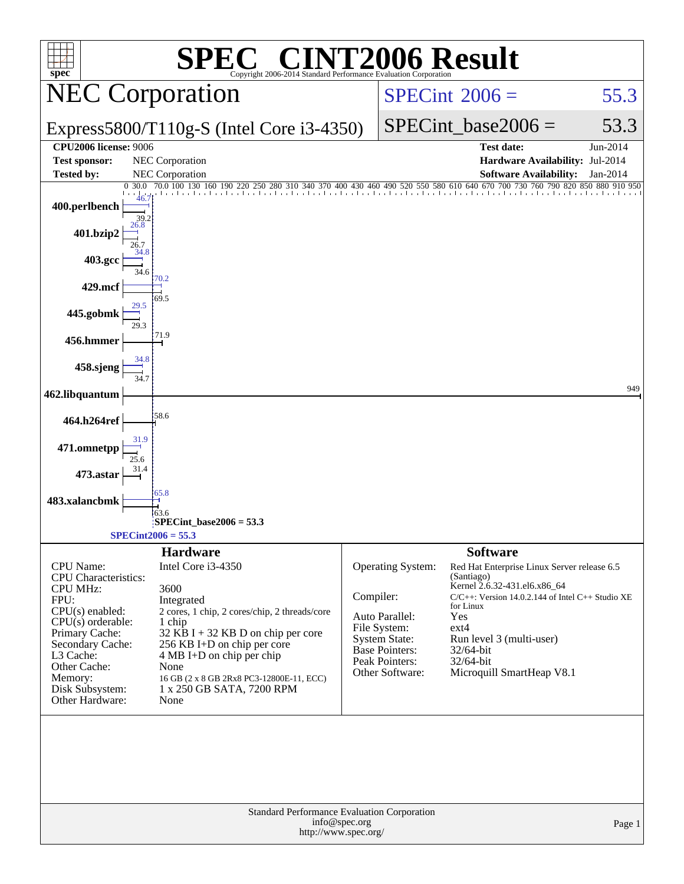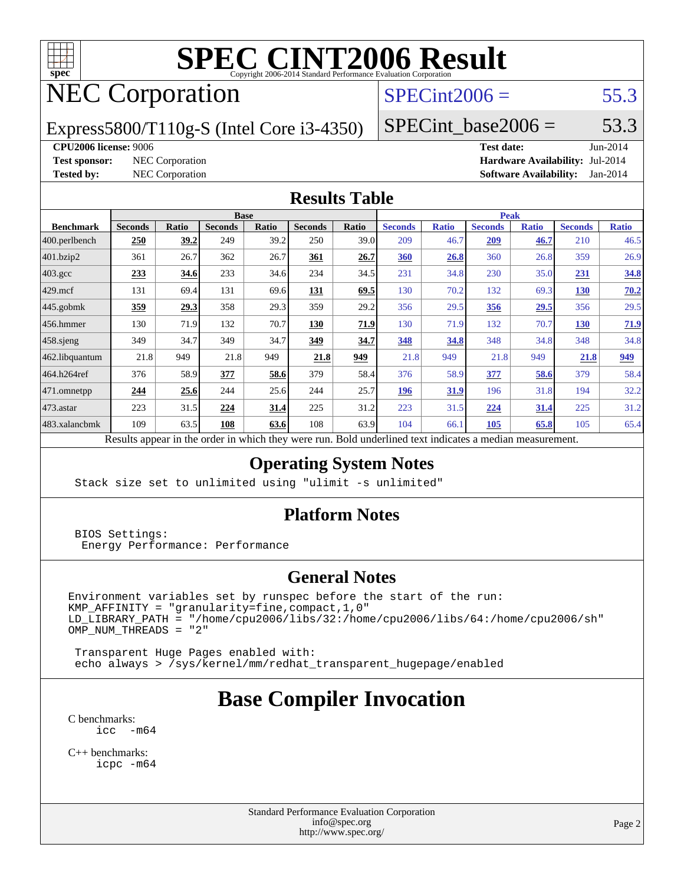

## NEC Corporation

#### $SPECint2006 = 55.3$  $SPECint2006 = 55.3$

Express5800/T110g-S (Intel Core i3-4350)

 $SPECTnt\_base2006 = 53.3$ 

#### **[CPU2006 license:](http://www.spec.org/auto/cpu2006/Docs/result-fields.html#CPU2006license)** 9006 **[Test date:](http://www.spec.org/auto/cpu2006/Docs/result-fields.html#Testdate)** Jun-2014

**[Test sponsor:](http://www.spec.org/auto/cpu2006/Docs/result-fields.html#Testsponsor)** NEC Corporation **[Hardware Availability:](http://www.spec.org/auto/cpu2006/Docs/result-fields.html#HardwareAvailability)** Jul-2014 **[Tested by:](http://www.spec.org/auto/cpu2006/Docs/result-fields.html#Testedby)** NEC Corporation **[Software Availability:](http://www.spec.org/auto/cpu2006/Docs/result-fields.html#SoftwareAvailability)** Jan-2014

#### **[Results Table](http://www.spec.org/auto/cpu2006/Docs/result-fields.html#ResultsTable)**

|                    | <b>Base</b>    |             |                |       |                |                           | <b>Peak</b>         |              |                |              |                |              |
|--------------------|----------------|-------------|----------------|-------|----------------|---------------------------|---------------------|--------------|----------------|--------------|----------------|--------------|
| <b>Benchmark</b>   | <b>Seconds</b> | Ratio       | <b>Seconds</b> | Ratio | <b>Seconds</b> | Ratio                     | <b>Seconds</b>      | <b>Ratio</b> | <b>Seconds</b> | <b>Ratio</b> | <b>Seconds</b> | <b>Ratio</b> |
| 400.perlbench      | 250            | 39.2        | 249            | 39.2  | 250            | 39.0                      | 209                 | 46.7         | 209            | 46.7         | 210            | 46.5         |
| 401.bzip2          | 361            | 26.7        | 362            | 26.7  | 361            | 26.7                      | 360                 | 26.8         | 360            | 26.8         | 359            | 26.9         |
| $403.\mathrm{gcc}$ | 233            | 34.6        | 233            | 34.6  | 234            | 34.5                      | 231                 | 34.8         | 230            | 35.0         | 231            | 34.8         |
| $429$ .mcf         | 131            | 69.4        | 131            | 69.6  | <u>131</u>     | 69.5                      | 130                 | 70.2         | 132            | 69.3         | 130            | 70.2         |
| $445$ .gobmk       | 359            | <u>29.3</u> | 358            | 29.3  | 359            | 29.2                      | 356                 | 29.5         | <u>356</u>     | <u>29.5</u>  | 356            | 29.5         |
| 456.hmmer          | 130            | 71.9        | 132            | 70.7  | 130            | 71.9                      | 130                 | 71.9         | 132            | 70.7         | 130            | 71.9         |
| $458$ .sjeng       | 349            | 34.7        | 349            | 34.7  | 349            | 34.7                      | 348                 | 34.8         | 348            | 34.8         | 348            | 34.8         |
| 462.libquantum     | 21.8           | 949         | 21.8           | 949   | 21.8           | 949                       | 21.8                | 949          | 21.8           | 949          | 21.8           | 949          |
| 464.h264ref        | 376            | 58.9        | 377            | 58.6  | 379            | 58.4                      | 376                 | 58.9         | 377            | 58.6         | 379            | 58.4         |
| 471.omnetpp        | 244            | 25.6        | 244            | 25.6  | 244            | 25.7                      | 196                 | 31.9         | 196            | 31.8         | 194            | 32.2         |
| $473.$ astar       | 223            | 31.5        | 224            | 31.4  | 225            | 31.2                      | 223                 | 31.5         | 224            | <u>31.4</u>  | 225            | 31.2         |
| 483.xalancbmk      | 109            | 63.5        | 108            | 63.6  | 108            | 63.9                      | 104                 | 66.1         | 105            | 65.8         | 105            | 65.4         |
| $\mathbf{r}$       | $\mathbf{1}$ . |             |                |       |                | $\mathbf{r}$ $\mathbf{r}$ | 1.1<br>$\mathbf{1}$ | $\cdot$      |                |              |                |              |

Results appear in the [order in which they were run.](http://www.spec.org/auto/cpu2006/Docs/result-fields.html#RunOrder) Bold underlined text [indicates a median measurement.](http://www.spec.org/auto/cpu2006/Docs/result-fields.html#Median)

#### **[Operating System Notes](http://www.spec.org/auto/cpu2006/Docs/result-fields.html#OperatingSystemNotes)**

Stack size set to unlimited using "ulimit -s unlimited"

#### **[Platform Notes](http://www.spec.org/auto/cpu2006/Docs/result-fields.html#PlatformNotes)**

 BIOS Settings: Energy Performance: Performance

#### **[General Notes](http://www.spec.org/auto/cpu2006/Docs/result-fields.html#GeneralNotes)**

Environment variables set by runspec before the start of the run:  $KMP_A$ FFINITY = "granularity=fine, compact, 1, 0" LD\_LIBRARY\_PATH = "/home/cpu2006/libs/32:/home/cpu2006/libs/64:/home/cpu2006/sh"  $OMP_NUM_THREADS = "2"$ 

 Transparent Huge Pages enabled with: echo always > /sys/kernel/mm/redhat\_transparent\_hugepage/enabled

### **[Base Compiler Invocation](http://www.spec.org/auto/cpu2006/Docs/result-fields.html#BaseCompilerInvocation)**

[C benchmarks](http://www.spec.org/auto/cpu2006/Docs/result-fields.html#Cbenchmarks): [icc -m64](http://www.spec.org/cpu2006/results/res2014q3/cpu2006-20140806-30818.flags.html#user_CCbase_intel_icc_64bit_f346026e86af2a669e726fe758c88044)

[C++ benchmarks:](http://www.spec.org/auto/cpu2006/Docs/result-fields.html#CXXbenchmarks) [icpc -m64](http://www.spec.org/cpu2006/results/res2014q3/cpu2006-20140806-30818.flags.html#user_CXXbase_intel_icpc_64bit_fc66a5337ce925472a5c54ad6a0de310)

> Standard Performance Evaluation Corporation [info@spec.org](mailto:info@spec.org) <http://www.spec.org/>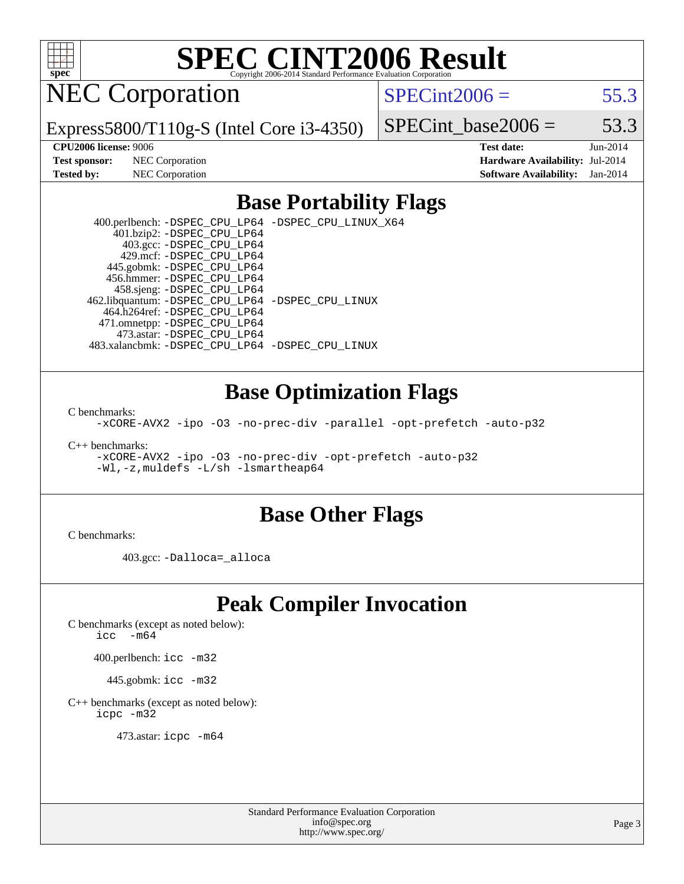

NEC Corporation

 $SPECint2006 = 55.3$  $SPECint2006 = 55.3$ 

Express5800/T110g-S (Intel Core i3-4350)

SPECint base2006 =  $53.3$ 

**[Test sponsor:](http://www.spec.org/auto/cpu2006/Docs/result-fields.html#Testsponsor)** NEC Corporation **[Hardware Availability:](http://www.spec.org/auto/cpu2006/Docs/result-fields.html#HardwareAvailability)** Jul-2014

**[CPU2006 license:](http://www.spec.org/auto/cpu2006/Docs/result-fields.html#CPU2006license)** 9006 **[Test date:](http://www.spec.org/auto/cpu2006/Docs/result-fields.html#Testdate)** Jun-2014 **[Tested by:](http://www.spec.org/auto/cpu2006/Docs/result-fields.html#Testedby)** NEC Corporation **[Software Availability:](http://www.spec.org/auto/cpu2006/Docs/result-fields.html#SoftwareAvailability)** Jan-2014

#### **[Base Portability Flags](http://www.spec.org/auto/cpu2006/Docs/result-fields.html#BasePortabilityFlags)**

 400.perlbench: [-DSPEC\\_CPU\\_LP64](http://www.spec.org/cpu2006/results/res2014q3/cpu2006-20140806-30818.flags.html#b400.perlbench_basePORTABILITY_DSPEC_CPU_LP64) [-DSPEC\\_CPU\\_LINUX\\_X64](http://www.spec.org/cpu2006/results/res2014q3/cpu2006-20140806-30818.flags.html#b400.perlbench_baseCPORTABILITY_DSPEC_CPU_LINUX_X64) 401.bzip2: [-DSPEC\\_CPU\\_LP64](http://www.spec.org/cpu2006/results/res2014q3/cpu2006-20140806-30818.flags.html#suite_basePORTABILITY401_bzip2_DSPEC_CPU_LP64) 403.gcc: [-DSPEC\\_CPU\\_LP64](http://www.spec.org/cpu2006/results/res2014q3/cpu2006-20140806-30818.flags.html#suite_basePORTABILITY403_gcc_DSPEC_CPU_LP64) 429.mcf: [-DSPEC\\_CPU\\_LP64](http://www.spec.org/cpu2006/results/res2014q3/cpu2006-20140806-30818.flags.html#suite_basePORTABILITY429_mcf_DSPEC_CPU_LP64) 445.gobmk: [-DSPEC\\_CPU\\_LP64](http://www.spec.org/cpu2006/results/res2014q3/cpu2006-20140806-30818.flags.html#suite_basePORTABILITY445_gobmk_DSPEC_CPU_LP64) 456.hmmer: [-DSPEC\\_CPU\\_LP64](http://www.spec.org/cpu2006/results/res2014q3/cpu2006-20140806-30818.flags.html#suite_basePORTABILITY456_hmmer_DSPEC_CPU_LP64) 458.sjeng: [-DSPEC\\_CPU\\_LP64](http://www.spec.org/cpu2006/results/res2014q3/cpu2006-20140806-30818.flags.html#suite_basePORTABILITY458_sjeng_DSPEC_CPU_LP64) 462.libquantum: [-DSPEC\\_CPU\\_LP64](http://www.spec.org/cpu2006/results/res2014q3/cpu2006-20140806-30818.flags.html#suite_basePORTABILITY462_libquantum_DSPEC_CPU_LP64) [-DSPEC\\_CPU\\_LINUX](http://www.spec.org/cpu2006/results/res2014q3/cpu2006-20140806-30818.flags.html#b462.libquantum_baseCPORTABILITY_DSPEC_CPU_LINUX) 464.h264ref: [-DSPEC\\_CPU\\_LP64](http://www.spec.org/cpu2006/results/res2014q3/cpu2006-20140806-30818.flags.html#suite_basePORTABILITY464_h264ref_DSPEC_CPU_LP64) 471.omnetpp: [-DSPEC\\_CPU\\_LP64](http://www.spec.org/cpu2006/results/res2014q3/cpu2006-20140806-30818.flags.html#suite_basePORTABILITY471_omnetpp_DSPEC_CPU_LP64) 473.astar: [-DSPEC\\_CPU\\_LP64](http://www.spec.org/cpu2006/results/res2014q3/cpu2006-20140806-30818.flags.html#suite_basePORTABILITY473_astar_DSPEC_CPU_LP64) 483.xalancbmk: [-DSPEC\\_CPU\\_LP64](http://www.spec.org/cpu2006/results/res2014q3/cpu2006-20140806-30818.flags.html#suite_basePORTABILITY483_xalancbmk_DSPEC_CPU_LP64) [-DSPEC\\_CPU\\_LINUX](http://www.spec.org/cpu2006/results/res2014q3/cpu2006-20140806-30818.flags.html#b483.xalancbmk_baseCXXPORTABILITY_DSPEC_CPU_LINUX)

#### **[Base Optimization Flags](http://www.spec.org/auto/cpu2006/Docs/result-fields.html#BaseOptimizationFlags)**

[C benchmarks](http://www.spec.org/auto/cpu2006/Docs/result-fields.html#Cbenchmarks):

[-xCORE-AVX2](http://www.spec.org/cpu2006/results/res2014q3/cpu2006-20140806-30818.flags.html#user_CCbase_f-xAVX2_5f5fc0cbe2c9f62c816d3e45806c70d7) [-ipo](http://www.spec.org/cpu2006/results/res2014q3/cpu2006-20140806-30818.flags.html#user_CCbase_f-ipo) [-O3](http://www.spec.org/cpu2006/results/res2014q3/cpu2006-20140806-30818.flags.html#user_CCbase_f-O3) [-no-prec-div](http://www.spec.org/cpu2006/results/res2014q3/cpu2006-20140806-30818.flags.html#user_CCbase_f-no-prec-div) [-parallel](http://www.spec.org/cpu2006/results/res2014q3/cpu2006-20140806-30818.flags.html#user_CCbase_f-parallel) [-opt-prefetch](http://www.spec.org/cpu2006/results/res2014q3/cpu2006-20140806-30818.flags.html#user_CCbase_f-opt-prefetch) [-auto-p32](http://www.spec.org/cpu2006/results/res2014q3/cpu2006-20140806-30818.flags.html#user_CCbase_f-auto-p32)

[C++ benchmarks:](http://www.spec.org/auto/cpu2006/Docs/result-fields.html#CXXbenchmarks)

[-xCORE-AVX2](http://www.spec.org/cpu2006/results/res2014q3/cpu2006-20140806-30818.flags.html#user_CXXbase_f-xAVX2_5f5fc0cbe2c9f62c816d3e45806c70d7) [-ipo](http://www.spec.org/cpu2006/results/res2014q3/cpu2006-20140806-30818.flags.html#user_CXXbase_f-ipo) [-O3](http://www.spec.org/cpu2006/results/res2014q3/cpu2006-20140806-30818.flags.html#user_CXXbase_f-O3) [-no-prec-div](http://www.spec.org/cpu2006/results/res2014q3/cpu2006-20140806-30818.flags.html#user_CXXbase_f-no-prec-div) [-opt-prefetch](http://www.spec.org/cpu2006/results/res2014q3/cpu2006-20140806-30818.flags.html#user_CXXbase_f-opt-prefetch) [-auto-p32](http://www.spec.org/cpu2006/results/res2014q3/cpu2006-20140806-30818.flags.html#user_CXXbase_f-auto-p32) [-Wl,-z,muldefs](http://www.spec.org/cpu2006/results/res2014q3/cpu2006-20140806-30818.flags.html#user_CXXbase_link_force_multiple1_74079c344b956b9658436fd1b6dd3a8a) [-L/sh -lsmartheap64](http://www.spec.org/cpu2006/results/res2014q3/cpu2006-20140806-30818.flags.html#user_CXXbase_SmartHeap64_ed4ef857ce90951921efb0d91eb88472)

#### **[Base Other Flags](http://www.spec.org/auto/cpu2006/Docs/result-fields.html#BaseOtherFlags)**

[C benchmarks](http://www.spec.org/auto/cpu2006/Docs/result-fields.html#Cbenchmarks):

403.gcc: [-Dalloca=\\_alloca](http://www.spec.org/cpu2006/results/res2014q3/cpu2006-20140806-30818.flags.html#b403.gcc_baseEXTRA_CFLAGS_Dalloca_be3056838c12de2578596ca5467af7f3)

#### **[Peak Compiler Invocation](http://www.spec.org/auto/cpu2006/Docs/result-fields.html#PeakCompilerInvocation)**

[C benchmarks \(except as noted below\)](http://www.spec.org/auto/cpu2006/Docs/result-fields.html#Cbenchmarksexceptasnotedbelow):

[icc -m64](http://www.spec.org/cpu2006/results/res2014q3/cpu2006-20140806-30818.flags.html#user_CCpeak_intel_icc_64bit_f346026e86af2a669e726fe758c88044)

400.perlbench: [icc -m32](http://www.spec.org/cpu2006/results/res2014q3/cpu2006-20140806-30818.flags.html#user_peakCCLD400_perlbench_intel_icc_a6a621f8d50482236b970c6ac5f55f93)

445.gobmk: [icc -m32](http://www.spec.org/cpu2006/results/res2014q3/cpu2006-20140806-30818.flags.html#user_peakCCLD445_gobmk_intel_icc_a6a621f8d50482236b970c6ac5f55f93)

[C++ benchmarks \(except as noted below\):](http://www.spec.org/auto/cpu2006/Docs/result-fields.html#CXXbenchmarksexceptasnotedbelow) [icpc -m32](http://www.spec.org/cpu2006/results/res2014q3/cpu2006-20140806-30818.flags.html#user_CXXpeak_intel_icpc_4e5a5ef1a53fd332b3c49e69c3330699)

473.astar: [icpc -m64](http://www.spec.org/cpu2006/results/res2014q3/cpu2006-20140806-30818.flags.html#user_peakCXXLD473_astar_intel_icpc_64bit_fc66a5337ce925472a5c54ad6a0de310)

Standard Performance Evaluation Corporation [info@spec.org](mailto:info@spec.org) <http://www.spec.org/>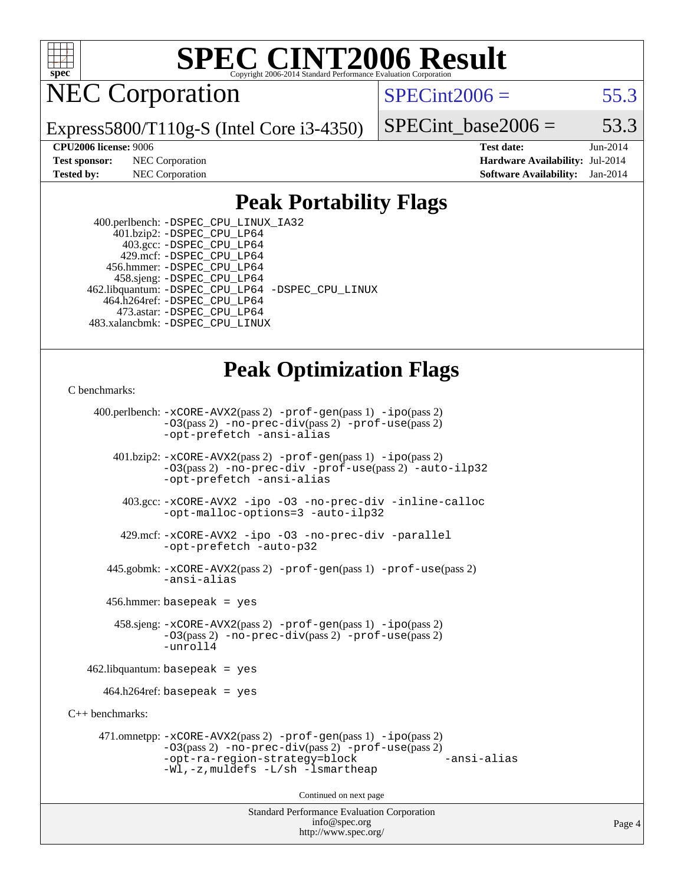

NEC Corporation

 $SPECint2006 = 55.3$  $SPECint2006 = 55.3$ 

Express5800/T110g-S (Intel Core i3-4350)

SPECint base2006 =  $53.3$ 

**[CPU2006 license:](http://www.spec.org/auto/cpu2006/Docs/result-fields.html#CPU2006license)** 9006 **[Test date:](http://www.spec.org/auto/cpu2006/Docs/result-fields.html#Testdate)** Jun-2014 **[Test sponsor:](http://www.spec.org/auto/cpu2006/Docs/result-fields.html#Testsponsor)** NEC Corporation **[Hardware Availability:](http://www.spec.org/auto/cpu2006/Docs/result-fields.html#HardwareAvailability)** Jul-2014 **[Tested by:](http://www.spec.org/auto/cpu2006/Docs/result-fields.html#Testedby)** NEC Corporation **[Software Availability:](http://www.spec.org/auto/cpu2006/Docs/result-fields.html#SoftwareAvailability)** Jan-2014

#### **[Peak Portability Flags](http://www.spec.org/auto/cpu2006/Docs/result-fields.html#PeakPortabilityFlags)**

 400.perlbench: [-DSPEC\\_CPU\\_LINUX\\_IA32](http://www.spec.org/cpu2006/results/res2014q3/cpu2006-20140806-30818.flags.html#b400.perlbench_peakCPORTABILITY_DSPEC_CPU_LINUX_IA32) 401.bzip2: [-DSPEC\\_CPU\\_LP64](http://www.spec.org/cpu2006/results/res2014q3/cpu2006-20140806-30818.flags.html#suite_peakPORTABILITY401_bzip2_DSPEC_CPU_LP64) 403.gcc: [-DSPEC\\_CPU\\_LP64](http://www.spec.org/cpu2006/results/res2014q3/cpu2006-20140806-30818.flags.html#suite_peakPORTABILITY403_gcc_DSPEC_CPU_LP64) 429.mcf: [-DSPEC\\_CPU\\_LP64](http://www.spec.org/cpu2006/results/res2014q3/cpu2006-20140806-30818.flags.html#suite_peakPORTABILITY429_mcf_DSPEC_CPU_LP64) 456.hmmer: [-DSPEC\\_CPU\\_LP64](http://www.spec.org/cpu2006/results/res2014q3/cpu2006-20140806-30818.flags.html#suite_peakPORTABILITY456_hmmer_DSPEC_CPU_LP64) 458.sjeng: [-DSPEC\\_CPU\\_LP64](http://www.spec.org/cpu2006/results/res2014q3/cpu2006-20140806-30818.flags.html#suite_peakPORTABILITY458_sjeng_DSPEC_CPU_LP64) 462.libquantum: [-DSPEC\\_CPU\\_LP64](http://www.spec.org/cpu2006/results/res2014q3/cpu2006-20140806-30818.flags.html#suite_peakPORTABILITY462_libquantum_DSPEC_CPU_LP64) [-DSPEC\\_CPU\\_LINUX](http://www.spec.org/cpu2006/results/res2014q3/cpu2006-20140806-30818.flags.html#b462.libquantum_peakCPORTABILITY_DSPEC_CPU_LINUX) 464.h264ref: [-DSPEC\\_CPU\\_LP64](http://www.spec.org/cpu2006/results/res2014q3/cpu2006-20140806-30818.flags.html#suite_peakPORTABILITY464_h264ref_DSPEC_CPU_LP64) 473.astar: [-DSPEC\\_CPU\\_LP64](http://www.spec.org/cpu2006/results/res2014q3/cpu2006-20140806-30818.flags.html#suite_peakPORTABILITY473_astar_DSPEC_CPU_LP64) 483.xalancbmk: [-DSPEC\\_CPU\\_LINUX](http://www.spec.org/cpu2006/results/res2014q3/cpu2006-20140806-30818.flags.html#b483.xalancbmk_peakCXXPORTABILITY_DSPEC_CPU_LINUX)

#### **[Peak Optimization Flags](http://www.spec.org/auto/cpu2006/Docs/result-fields.html#PeakOptimizationFlags)**

#### [C benchmarks](http://www.spec.org/auto/cpu2006/Docs/result-fields.html#Cbenchmarks):

Standard Performance Evaluation Corporation [info@spec.org](mailto:info@spec.org) 400.perlbench: [-xCORE-AVX2](http://www.spec.org/cpu2006/results/res2014q3/cpu2006-20140806-30818.flags.html#user_peakPASS2_CFLAGSPASS2_LDCFLAGS400_perlbench_f-xAVX2_5f5fc0cbe2c9f62c816d3e45806c70d7)(pass 2) [-prof-gen](http://www.spec.org/cpu2006/results/res2014q3/cpu2006-20140806-30818.flags.html#user_peakPASS1_CFLAGSPASS1_LDCFLAGS400_perlbench_prof_gen_e43856698f6ca7b7e442dfd80e94a8fc)(pass 1) [-ipo](http://www.spec.org/cpu2006/results/res2014q3/cpu2006-20140806-30818.flags.html#user_peakPASS2_CFLAGSPASS2_LDCFLAGS400_perlbench_f-ipo)(pass 2) [-O3](http://www.spec.org/cpu2006/results/res2014q3/cpu2006-20140806-30818.flags.html#user_peakPASS2_CFLAGSPASS2_LDCFLAGS400_perlbench_f-O3)(pass 2) [-no-prec-div](http://www.spec.org/cpu2006/results/res2014q3/cpu2006-20140806-30818.flags.html#user_peakPASS2_CFLAGSPASS2_LDCFLAGS400_perlbench_f-no-prec-div)(pass 2) [-prof-use](http://www.spec.org/cpu2006/results/res2014q3/cpu2006-20140806-30818.flags.html#user_peakPASS2_CFLAGSPASS2_LDCFLAGS400_perlbench_prof_use_bccf7792157ff70d64e32fe3e1250b55)(pass 2) [-opt-prefetch](http://www.spec.org/cpu2006/results/res2014q3/cpu2006-20140806-30818.flags.html#user_peakCOPTIMIZE400_perlbench_f-opt-prefetch) [-ansi-alias](http://www.spec.org/cpu2006/results/res2014q3/cpu2006-20140806-30818.flags.html#user_peakCOPTIMIZE400_perlbench_f-ansi-alias) 401.bzip2: [-xCORE-AVX2](http://www.spec.org/cpu2006/results/res2014q3/cpu2006-20140806-30818.flags.html#user_peakPASS2_CFLAGSPASS2_LDCFLAGS401_bzip2_f-xAVX2_5f5fc0cbe2c9f62c816d3e45806c70d7)(pass 2) [-prof-gen](http://www.spec.org/cpu2006/results/res2014q3/cpu2006-20140806-30818.flags.html#user_peakPASS1_CFLAGSPASS1_LDCFLAGS401_bzip2_prof_gen_e43856698f6ca7b7e442dfd80e94a8fc)(pass 1) [-ipo](http://www.spec.org/cpu2006/results/res2014q3/cpu2006-20140806-30818.flags.html#user_peakPASS2_CFLAGSPASS2_LDCFLAGS401_bzip2_f-ipo)(pass 2) [-O3](http://www.spec.org/cpu2006/results/res2014q3/cpu2006-20140806-30818.flags.html#user_peakPASS2_CFLAGSPASS2_LDCFLAGS401_bzip2_f-O3)(pass 2) [-no-prec-div](http://www.spec.org/cpu2006/results/res2014q3/cpu2006-20140806-30818.flags.html#user_peakCOPTIMIZEPASS2_CFLAGSPASS2_LDCFLAGS401_bzip2_f-no-prec-div) [-prof-use](http://www.spec.org/cpu2006/results/res2014q3/cpu2006-20140806-30818.flags.html#user_peakPASS2_CFLAGSPASS2_LDCFLAGS401_bzip2_prof_use_bccf7792157ff70d64e32fe3e1250b55)(pass 2) [-auto-ilp32](http://www.spec.org/cpu2006/results/res2014q3/cpu2006-20140806-30818.flags.html#user_peakCOPTIMIZE401_bzip2_f-auto-ilp32) [-opt-prefetch](http://www.spec.org/cpu2006/results/res2014q3/cpu2006-20140806-30818.flags.html#user_peakCOPTIMIZE401_bzip2_f-opt-prefetch) [-ansi-alias](http://www.spec.org/cpu2006/results/res2014q3/cpu2006-20140806-30818.flags.html#user_peakCOPTIMIZE401_bzip2_f-ansi-alias) 403.gcc: [-xCORE-AVX2](http://www.spec.org/cpu2006/results/res2014q3/cpu2006-20140806-30818.flags.html#user_peakCOPTIMIZE403_gcc_f-xAVX2_5f5fc0cbe2c9f62c816d3e45806c70d7) [-ipo](http://www.spec.org/cpu2006/results/res2014q3/cpu2006-20140806-30818.flags.html#user_peakCOPTIMIZE403_gcc_f-ipo) [-O3](http://www.spec.org/cpu2006/results/res2014q3/cpu2006-20140806-30818.flags.html#user_peakCOPTIMIZE403_gcc_f-O3) [-no-prec-div](http://www.spec.org/cpu2006/results/res2014q3/cpu2006-20140806-30818.flags.html#user_peakCOPTIMIZE403_gcc_f-no-prec-div) [-inline-calloc](http://www.spec.org/cpu2006/results/res2014q3/cpu2006-20140806-30818.flags.html#user_peakCOPTIMIZE403_gcc_f-inline-calloc) [-opt-malloc-options=3](http://www.spec.org/cpu2006/results/res2014q3/cpu2006-20140806-30818.flags.html#user_peakCOPTIMIZE403_gcc_f-opt-malloc-options_13ab9b803cf986b4ee62f0a5998c2238) [-auto-ilp32](http://www.spec.org/cpu2006/results/res2014q3/cpu2006-20140806-30818.flags.html#user_peakCOPTIMIZE403_gcc_f-auto-ilp32) 429.mcf: [-xCORE-AVX2](http://www.spec.org/cpu2006/results/res2014q3/cpu2006-20140806-30818.flags.html#user_peakCOPTIMIZE429_mcf_f-xAVX2_5f5fc0cbe2c9f62c816d3e45806c70d7) [-ipo](http://www.spec.org/cpu2006/results/res2014q3/cpu2006-20140806-30818.flags.html#user_peakCOPTIMIZE429_mcf_f-ipo) [-O3](http://www.spec.org/cpu2006/results/res2014q3/cpu2006-20140806-30818.flags.html#user_peakCOPTIMIZE429_mcf_f-O3) [-no-prec-div](http://www.spec.org/cpu2006/results/res2014q3/cpu2006-20140806-30818.flags.html#user_peakCOPTIMIZE429_mcf_f-no-prec-div) [-parallel](http://www.spec.org/cpu2006/results/res2014q3/cpu2006-20140806-30818.flags.html#user_peakCOPTIMIZE429_mcf_f-parallel) [-opt-prefetch](http://www.spec.org/cpu2006/results/res2014q3/cpu2006-20140806-30818.flags.html#user_peakCOPTIMIZE429_mcf_f-opt-prefetch) [-auto-p32](http://www.spec.org/cpu2006/results/res2014q3/cpu2006-20140806-30818.flags.html#user_peakCOPTIMIZE429_mcf_f-auto-p32) 445.gobmk: [-xCORE-AVX2](http://www.spec.org/cpu2006/results/res2014q3/cpu2006-20140806-30818.flags.html#user_peakPASS2_CFLAGSPASS2_LDCFLAGS445_gobmk_f-xAVX2_5f5fc0cbe2c9f62c816d3e45806c70d7)(pass 2) [-prof-gen](http://www.spec.org/cpu2006/results/res2014q3/cpu2006-20140806-30818.flags.html#user_peakPASS1_CFLAGSPASS1_LDCFLAGS445_gobmk_prof_gen_e43856698f6ca7b7e442dfd80e94a8fc)(pass 1) [-prof-use](http://www.spec.org/cpu2006/results/res2014q3/cpu2006-20140806-30818.flags.html#user_peakPASS2_CFLAGSPASS2_LDCFLAGS445_gobmk_prof_use_bccf7792157ff70d64e32fe3e1250b55)(pass 2) [-ansi-alias](http://www.spec.org/cpu2006/results/res2014q3/cpu2006-20140806-30818.flags.html#user_peakCOPTIMIZE445_gobmk_f-ansi-alias) 456.hmmer: basepeak = yes 458.sjeng: [-xCORE-AVX2](http://www.spec.org/cpu2006/results/res2014q3/cpu2006-20140806-30818.flags.html#user_peakPASS2_CFLAGSPASS2_LDCFLAGS458_sjeng_f-xAVX2_5f5fc0cbe2c9f62c816d3e45806c70d7)(pass 2) [-prof-gen](http://www.spec.org/cpu2006/results/res2014q3/cpu2006-20140806-30818.flags.html#user_peakPASS1_CFLAGSPASS1_LDCFLAGS458_sjeng_prof_gen_e43856698f6ca7b7e442dfd80e94a8fc)(pass 1) [-ipo](http://www.spec.org/cpu2006/results/res2014q3/cpu2006-20140806-30818.flags.html#user_peakPASS2_CFLAGSPASS2_LDCFLAGS458_sjeng_f-ipo)(pass 2) [-O3](http://www.spec.org/cpu2006/results/res2014q3/cpu2006-20140806-30818.flags.html#user_peakPASS2_CFLAGSPASS2_LDCFLAGS458_sjeng_f-O3)(pass 2) [-no-prec-div](http://www.spec.org/cpu2006/results/res2014q3/cpu2006-20140806-30818.flags.html#user_peakPASS2_CFLAGSPASS2_LDCFLAGS458_sjeng_f-no-prec-div)(pass 2) [-prof-use](http://www.spec.org/cpu2006/results/res2014q3/cpu2006-20140806-30818.flags.html#user_peakPASS2_CFLAGSPASS2_LDCFLAGS458_sjeng_prof_use_bccf7792157ff70d64e32fe3e1250b55)(pass 2) [-unroll4](http://www.spec.org/cpu2006/results/res2014q3/cpu2006-20140806-30818.flags.html#user_peakCOPTIMIZE458_sjeng_f-unroll_4e5e4ed65b7fd20bdcd365bec371b81f) 462.libquantum: basepeak = yes  $464.h264$ ref: basepeak = yes [C++ benchmarks:](http://www.spec.org/auto/cpu2006/Docs/result-fields.html#CXXbenchmarks) 471.omnetpp: [-xCORE-AVX2](http://www.spec.org/cpu2006/results/res2014q3/cpu2006-20140806-30818.flags.html#user_peakPASS2_CXXFLAGSPASS2_LDCXXFLAGS471_omnetpp_f-xAVX2_5f5fc0cbe2c9f62c816d3e45806c70d7)(pass 2) [-prof-gen](http://www.spec.org/cpu2006/results/res2014q3/cpu2006-20140806-30818.flags.html#user_peakPASS1_CXXFLAGSPASS1_LDCXXFLAGS471_omnetpp_prof_gen_e43856698f6ca7b7e442dfd80e94a8fc)(pass 1) [-ipo](http://www.spec.org/cpu2006/results/res2014q3/cpu2006-20140806-30818.flags.html#user_peakPASS2_CXXFLAGSPASS2_LDCXXFLAGS471_omnetpp_f-ipo)(pass 2) [-O3](http://www.spec.org/cpu2006/results/res2014q3/cpu2006-20140806-30818.flags.html#user_peakPASS2_CXXFLAGSPASS2_LDCXXFLAGS471_omnetpp_f-O3)(pass 2) [-no-prec-div](http://www.spec.org/cpu2006/results/res2014q3/cpu2006-20140806-30818.flags.html#user_peakPASS2_CXXFLAGSPASS2_LDCXXFLAGS471_omnetpp_f-no-prec-div)(pass 2) [-prof-use](http://www.spec.org/cpu2006/results/res2014q3/cpu2006-20140806-30818.flags.html#user_peakPASS2_CXXFLAGSPASS2_LDCXXFLAGS471_omnetpp_prof_use_bccf7792157ff70d64e32fe3e1250b55)(pass 2) [-opt-ra-region-strategy=block](http://www.spec.org/cpu2006/results/res2014q3/cpu2006-20140806-30818.flags.html#user_peakCXXOPTIMIZE471_omnetpp_f-opt-ra-region-strategy_5382940c29ea30302d682fc74bfe0147) [-ansi-alias](http://www.spec.org/cpu2006/results/res2014q3/cpu2006-20140806-30818.flags.html#user_peakCXXOPTIMIZE471_omnetpp_f-ansi-alias) [-Wl,-z,muldefs](http://www.spec.org/cpu2006/results/res2014q3/cpu2006-20140806-30818.flags.html#user_peakEXTRA_LDFLAGS471_omnetpp_link_force_multiple1_74079c344b956b9658436fd1b6dd3a8a) [-L/sh -lsmartheap](http://www.spec.org/cpu2006/results/res2014q3/cpu2006-20140806-30818.flags.html#user_peakEXTRA_LIBS471_omnetpp_SmartHeap_32f6c82aa1ed9c52345d30cf6e4a0499) Continued on next page

<http://www.spec.org/>